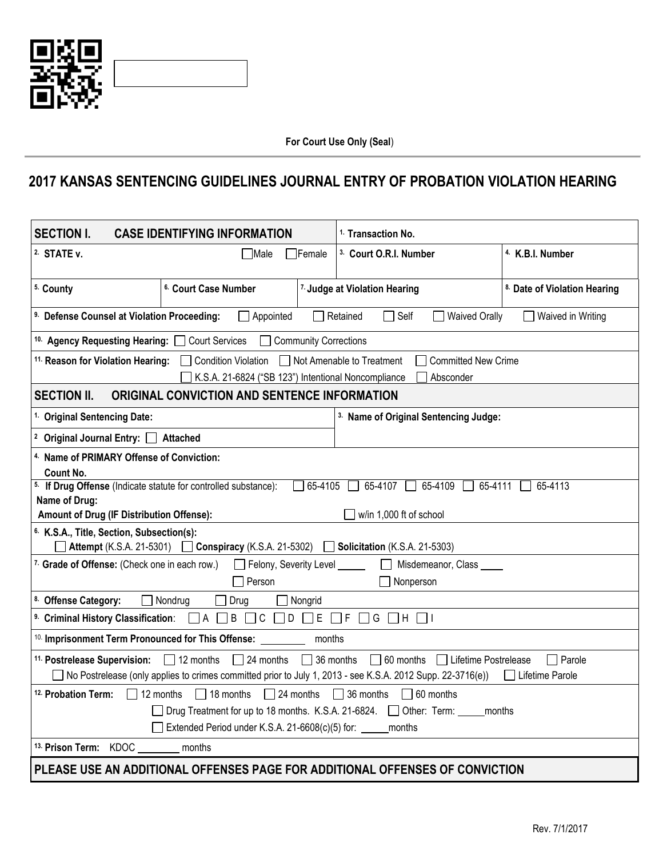

## **2017 KANSAS SENTENCING GUIDELINES JOURNAL ENTRY OF PROBATION VIOLATION HEARING**

| <b>SECTION I.</b><br><b>CASE IDENTIFYING INFORMATION</b>                                                                                                                                                                                          | <sup>1.</sup> Transaction No.     |                                                  |  |  |  |  |
|---------------------------------------------------------------------------------------------------------------------------------------------------------------------------------------------------------------------------------------------------|-----------------------------------|--------------------------------------------------|--|--|--|--|
| 2. STATE v.<br><b>∐Male</b><br><b>IFemale</b>                                                                                                                                                                                                     | <sup>3.</sup> Court O.R.I. Number | <sup>4</sup> K.B.I. Number                       |  |  |  |  |
| 5. County<br><sup>6.</sup> Court Case Number                                                                                                                                                                                                      | 7. Judge at Violation Hearing     | 8. Date of Violation Hearing                     |  |  |  |  |
| <sup>9.</sup> Defense Counsel at Violation Proceeding:<br>$\Box$ Appointed<br>Retained<br>$\Box$ Self<br>Waived Orally<br>$\Box$ Waived in Writing                                                                                                |                                   |                                                  |  |  |  |  |
| 10. Agency Requesting Hearing: Court Services<br>Community Corrections                                                                                                                                                                            |                                   |                                                  |  |  |  |  |
| 11. Reason for Violation Hearing: Condition Violation Not Amenable to Treatment<br><b>Committed New Crime</b><br>K.S.A. 21-6824 ("SB 123") Intentional Noncompliance<br>Absconder                                                                 |                                   |                                                  |  |  |  |  |
| <b>SECTION II.</b><br>ORIGINAL CONVICTION AND SENTENCE INFORMATION                                                                                                                                                                                |                                   |                                                  |  |  |  |  |
| <sup>1.</sup> Original Sentencing Date:                                                                                                                                                                                                           |                                   | <sup>3.</sup> Name of Original Sentencing Judge: |  |  |  |  |
| <sup>2</sup> Original Journal Entry: Attached                                                                                                                                                                                                     |                                   |                                                  |  |  |  |  |
| <sup>4.</sup> Name of PRIMARY Offense of Conviction:<br>Count No.                                                                                                                                                                                 |                                   |                                                  |  |  |  |  |
| 5. If Drug Offense (Indicate statute for controlled substance):<br>$\Box$ 65-4105<br>$65-4107$   65-4109   65-4111<br>65-4113<br>Name of Drug:<br>Amount of Drug (IF Distribution Offense):<br>w/in 1,000 ft of school                            |                                   |                                                  |  |  |  |  |
| <sup>6.</sup> K.S.A., Title, Section, Subsection(s):<br><b>Attempt</b> (K.S.A. 21-5301) <b>Conspiracy</b> (K.S.A. 21-5302) <b>Consideration</b> (K.S.A. 21-5303)                                                                                  |                                   |                                                  |  |  |  |  |
| 7. Grade of Offense: (Check one in each row.) <b>Comparish Transform Example 20</b> Felony, Severity Level _____<br>Misdemeanor, Class                                                                                                            |                                   |                                                  |  |  |  |  |
| Person<br>Nonperson                                                                                                                                                                                                                               |                                   |                                                  |  |  |  |  |
| 8. Offense Category:<br>$\Box$ Drug<br>$\Box$ Nondrug<br>$\Box$ Nongrid                                                                                                                                                                           |                                   |                                                  |  |  |  |  |
| 9. Criminal History Classification: $\Box A \Box B \Box C \Box D \Box E \Box F \Box G \Box H \Box I$                                                                                                                                              |                                   |                                                  |  |  |  |  |
| <sup>10.</sup> Imprisonment Term Pronounced for This Offense:<br>months                                                                                                                                                                           |                                   |                                                  |  |  |  |  |
| 11. Postrelease Supervision: 12 months<br>□ 24 months □ 36 months □ 60 months □ Lifetime Postrelease<br>Parole<br>No Postrelease (only applies to crimes committed prior to July 1, 2013 - see K.S.A. 2012 Supp. 22-3716(e))<br>  Lifetime Parole |                                   |                                                  |  |  |  |  |
| $\Box$ 12 months $\Box$ 18 months $\Box$ 24 months $\Box$ 36 months $\Box$ 60 months<br><sup>12.</sup> Probation Term:                                                                                                                            |                                   |                                                  |  |  |  |  |
| □ Drug Treatment for up to 18 months. K.S.A. 21-6824. □ Other: Term: _____ months                                                                                                                                                                 |                                   |                                                  |  |  |  |  |
| Extended Period under K.S.A. 21-6608(c)(5) for: ______ months                                                                                                                                                                                     |                                   |                                                  |  |  |  |  |
| <sup>13.</sup> Prison Term: KDOC months                                                                                                                                                                                                           |                                   |                                                  |  |  |  |  |
| PLEASE USE AN ADDITIONAL OFFENSES PAGE FOR ADDITIONAL OFFENSES OF CONVICTION                                                                                                                                                                      |                                   |                                                  |  |  |  |  |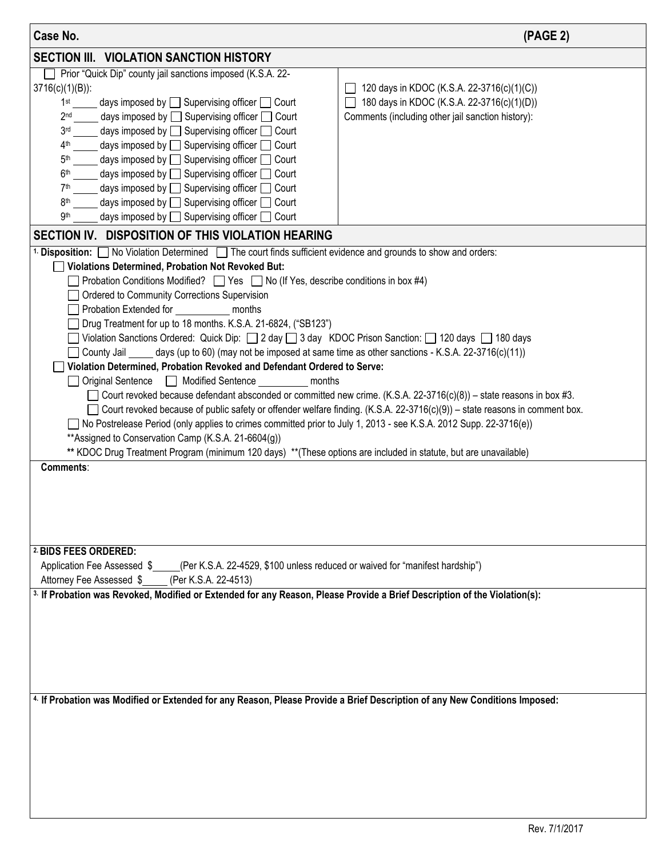| Case No.                                                                                                                                                                                                                                                                                                                                                                                                                                                                                                                                                                                                                                                                                                                                                                                                                                                                                                                                                                                                                                                                                                                                                                                                                                                                                                                                           | (PAGE 2)                                                                                                                                      |  |  |  |  |
|----------------------------------------------------------------------------------------------------------------------------------------------------------------------------------------------------------------------------------------------------------------------------------------------------------------------------------------------------------------------------------------------------------------------------------------------------------------------------------------------------------------------------------------------------------------------------------------------------------------------------------------------------------------------------------------------------------------------------------------------------------------------------------------------------------------------------------------------------------------------------------------------------------------------------------------------------------------------------------------------------------------------------------------------------------------------------------------------------------------------------------------------------------------------------------------------------------------------------------------------------------------------------------------------------------------------------------------------------|-----------------------------------------------------------------------------------------------------------------------------------------------|--|--|--|--|
| <b>SECTION III. VIOLATION SANCTION HISTORY</b>                                                                                                                                                                                                                                                                                                                                                                                                                                                                                                                                                                                                                                                                                                                                                                                                                                                                                                                                                                                                                                                                                                                                                                                                                                                                                                     |                                                                                                                                               |  |  |  |  |
| Prior "Quick Dip" county jail sanctions imposed (K.S.A. 22-<br>$3716(c)(1)(B))$ :<br>days imposed by $\Box$ Supervising officer $\Box$ Court<br>1 <sup>st</sup><br>days imposed by $\Box$ Supervising officer $\Box$ Court<br>2 <sub>nd</sub><br>days imposed by $\Box$ Supervising officer $\Box$ Court<br>3 <sub>rd</sub><br>days imposed by $\Box$ Supervising officer $\Box$ Court<br>4 <sup>th</sup><br>days imposed by □ Supervising officer □ Court<br>5 <sup>th</sup><br>days imposed by $\Box$ Supervising officer $\Box$ Court<br>6 <sup>th</sup><br>days imposed by $\Box$ Supervising officer $\Box$ Court<br>7 <sup>th</sup><br>days imposed by □ Supervising officer □ Court<br>8 <sup>th</sup><br>days imposed by □ Supervising officer □ Court<br>9th                                                                                                                                                                                                                                                                                                                                                                                                                                                                                                                                                                              | 120 days in KDOC (K.S.A. 22-3716(c)(1)(C))<br>180 days in KDOC (K.S.A. 22-3716(c)(1)(D))<br>Comments (including other jail sanction history): |  |  |  |  |
| SECTION IV. DISPOSITION OF THIS VIOLATION HEARING                                                                                                                                                                                                                                                                                                                                                                                                                                                                                                                                                                                                                                                                                                                                                                                                                                                                                                                                                                                                                                                                                                                                                                                                                                                                                                  |                                                                                                                                               |  |  |  |  |
| <sup>1.</sup> Disposition: No Violation Determined The court finds sufficient evidence and grounds to show and orders:<br>Violations Determined, Probation Not Revoked But:<br>Probation Conditions Modified? $\Box$ Yes $\Box$ No (If Yes, describe conditions in box #4)<br>Ordered to Community Corrections Supervision<br>Probation Extended for<br>months<br>Drug Treatment for up to 18 months. K.S.A. 21-6824, ("SB123")<br>◯ Violation Sanctions Ordered: Quick Dip: ◯ 2 day ◯ 3 day KDOC Prison Sanction: ◯ 120 days ◯ 180 days<br>County Jail $\_\_\_$ days (up to 60) (may not be imposed at same time as other sanctions - K.S.A. 22-3716(c)(11))<br>Violation Determined, Probation Revoked and Defendant Ordered to Serve:<br>□ Original Sentence □ Modified Sentence months<br>Court revoked because defendant absconded or committed new crime. (K.S.A. 22-3716(c)(8)) – state reasons in box #3.<br>□ Court revoked because of public safety or offender welfare finding. (K.S.A. 22-3716(c)(9)) – state reasons in comment box.<br>No Postrelease Period (only applies to crimes committed prior to July 1, 2013 - see K.S.A. 2012 Supp. 22-3716(e))<br>** Assigned to Conservation Camp (K.S.A. 21-6604(g))<br>** KDOC Drug Treatment Program (minimum 120 days) **(These options are included in statute, but are unavailable) |                                                                                                                                               |  |  |  |  |
| Comments:<br>2 BIDS FEES ORDERED:<br>Application Fee Assessed \$____(Per K.S.A. 22-4529, \$100 unless reduced or waived for "manifest hardship")<br>Attorney Fee Assessed \$<br>(Per K.S.A. 22-4513)<br><sup>3.</sup> If Probation was Revoked, Modified or Extended for any Reason, Please Provide a Brief Description of the Violation(s):<br>4. If Probation was Modified or Extended for any Reason, Please Provide a Brief Description of any New Conditions Imposed:                                                                                                                                                                                                                                                                                                                                                                                                                                                                                                                                                                                                                                                                                                                                                                                                                                                                         |                                                                                                                                               |  |  |  |  |
|                                                                                                                                                                                                                                                                                                                                                                                                                                                                                                                                                                                                                                                                                                                                                                                                                                                                                                                                                                                                                                                                                                                                                                                                                                                                                                                                                    |                                                                                                                                               |  |  |  |  |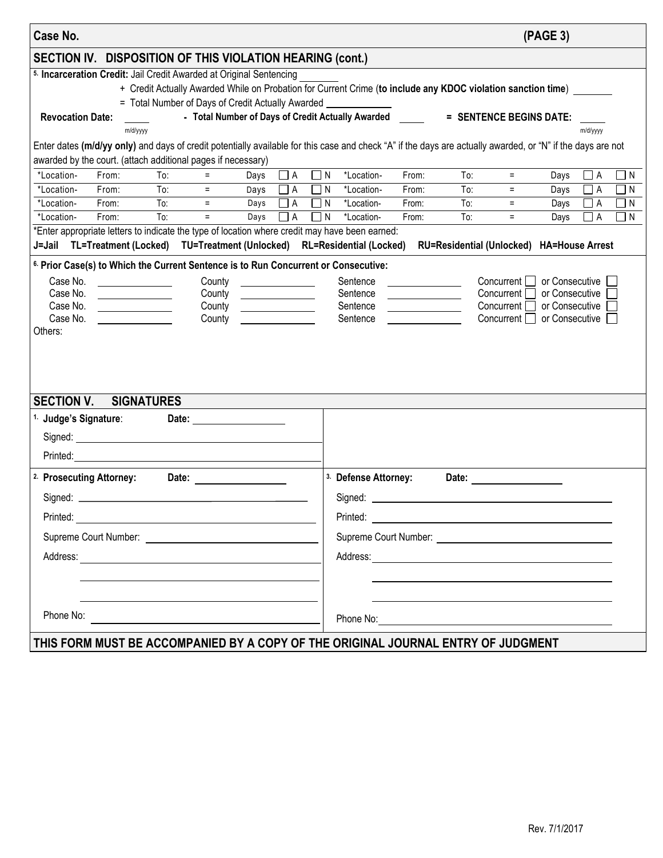| Case No.                                                                                                                                                                                                                                                                                                                                                                                                                                                                                                                                                                                                                                                                                                            |                                                                                                                                                             |            |                                                   |              |                           |                      |                                                       |                |            |                                                                                                                                                                                                                                | (PAGE 3)     |                      |                      |
|---------------------------------------------------------------------------------------------------------------------------------------------------------------------------------------------------------------------------------------------------------------------------------------------------------------------------------------------------------------------------------------------------------------------------------------------------------------------------------------------------------------------------------------------------------------------------------------------------------------------------------------------------------------------------------------------------------------------|-------------------------------------------------------------------------------------------------------------------------------------------------------------|------------|---------------------------------------------------|--------------|---------------------------|----------------------|-------------------------------------------------------|----------------|------------|--------------------------------------------------------------------------------------------------------------------------------------------------------------------------------------------------------------------------------|--------------|----------------------|----------------------|
|                                                                                                                                                                                                                                                                                                                                                                                                                                                                                                                                                                                                                                                                                                                     |                                                                                                                                                             |            |                                                   |              |                           |                      |                                                       |                |            |                                                                                                                                                                                                                                |              |                      |                      |
| SECTION IV. DISPOSITION OF THIS VIOLATION HEARING (cont.)<br>5. Incarceration Credit: Jail Credit Awarded at Original Sentencing<br>+ Credit Actually Awarded While on Probation for Current Crime (to include any KDOC violation sanction time) _<br>= Total Number of Days of Credit Actually Awarded _                                                                                                                                                                                                                                                                                                                                                                                                           |                                                                                                                                                             |            |                                                   |              |                           |                      |                                                       |                |            |                                                                                                                                                                                                                                |              |                      |                      |
| <b>Revocation Date:</b>                                                                                                                                                                                                                                                                                                                                                                                                                                                                                                                                                                                                                                                                                             | m/d/yyyy                                                                                                                                                    |            | - Total Number of Days of Credit Actually Awarded |              |                           |                      |                                                       |                |            | = SENTENCE BEGINS DATE:                                                                                                                                                                                                        |              | m/d/yyyy             |                      |
|                                                                                                                                                                                                                                                                                                                                                                                                                                                                                                                                                                                                                                                                                                                     | Enter dates (m/d/yy only) and days of credit potentially available for this case and check "A" if the days are actually awarded, or "N" if the days are not |            |                                                   |              |                           |                      |                                                       |                |            |                                                                                                                                                                                                                                |              |                      |                      |
| awarded by the court. (attach additional pages if necessary)                                                                                                                                                                                                                                                                                                                                                                                                                                                                                                                                                                                                                                                        |                                                                                                                                                             |            |                                                   |              |                           |                      |                                                       |                |            |                                                                                                                                                                                                                                |              |                      |                      |
| *Location-                                                                                                                                                                                                                                                                                                                                                                                                                                                                                                                                                                                                                                                                                                          | From:                                                                                                                                                       | To:        |                                                   | Days         | $\Box$ A                  | $\Box$ N             | *Location-                                            | From:          | To:        | $\equiv$                                                                                                                                                                                                                       | Days         | $\Box$ A             | $\Box$ N             |
| *Location-                                                                                                                                                                                                                                                                                                                                                                                                                                                                                                                                                                                                                                                                                                          | From:                                                                                                                                                       | To:        | $=$                                               | Days         | $\Box$ A                  | $\Box$ N             | *Location-                                            | From:          | To:        | $=$                                                                                                                                                                                                                            | Days         | $\Box$ A             | $\Box$ N             |
| *Location-<br>*Location-                                                                                                                                                                                                                                                                                                                                                                                                                                                                                                                                                                                                                                                                                            | From:<br>From:                                                                                                                                              | To:<br>To: | $\equiv$<br>$=$                                   | Days<br>Days | $\overline{\Box}$ A<br>٦A | $\Box$ N<br>$\Box$ N | *Location-<br>*Location-                              | From:<br>From: | To:<br>To: | $=$<br>$\equiv$                                                                                                                                                                                                                | Days<br>Days | $\Box$ A<br>$\Box$ A | $\Box$ N<br>$\Box$ N |
|                                                                                                                                                                                                                                                                                                                                                                                                                                                                                                                                                                                                                                                                                                                     | *Enter appropriate letters to indicate the type of location where credit may have been earned:                                                              |            |                                                   |              |                           |                      |                                                       |                |            |                                                                                                                                                                                                                                |              |                      |                      |
| J=Jail TL=Treatment (Locked) TU=Treatment (Unlocked) RL=Residential (Locked)                                                                                                                                                                                                                                                                                                                                                                                                                                                                                                                                                                                                                                        |                                                                                                                                                             |            |                                                   |              |                           |                      |                                                       |                |            | RU=Residential (Unlocked) HA=House Arrest                                                                                                                                                                                      |              |                      |                      |
|                                                                                                                                                                                                                                                                                                                                                                                                                                                                                                                                                                                                                                                                                                                     |                                                                                                                                                             |            |                                                   |              |                           |                      |                                                       |                |            |                                                                                                                                                                                                                                |              |                      |                      |
| <sup>6.</sup> Prior Case(s) to Which the Current Sentence is to Run Concurrent or Consecutive:<br>Case No.<br>or Consecutive<br>Concurrent [<br>County<br>Sentence<br>or Consecutive<br>Case No.<br>Concurrent [<br>County<br>Sentence<br><u>and the company of the company of the company of the company of the company of the company of the company of the company of the company of the company of the company of the company of the company of the company of the com</u><br>Case No.<br>Concurrent [<br>or Consecutive<br>Sentence<br>Case No.<br>or Consecutive<br>Sentence<br>Concurrent  <br>County <u>County</u><br>Others:<br><b>SECTION V.</b><br><b>SIGNATURES</b><br><sup>1.</sup> Judge's Signature: |                                                                                                                                                             |            |                                                   |              |                           |                      |                                                       |                |            |                                                                                                                                                                                                                                |              |                      |                      |
| <sup>2.</sup> Prosecuting Attorney:<br>Phone No:                                                                                                                                                                                                                                                                                                                                                                                                                                                                                                                                                                                                                                                                    |                                                                                                                                                             |            | Date:                                             |              |                           |                      | <sup>3.</sup> Defense Attorney:<br>Signed: __________ |                |            | Date: the contract of the contract of the contract of the contract of the contract of the contract of the contract of the contract of the contract of the contract of the contract of the contract of the contract of the cont |              |                      |                      |
| THIS FORM MUST BE ACCOMPANIED BY A COPY OF THE ORIGINAL JOURNAL ENTRY OF JUDGMENT                                                                                                                                                                                                                                                                                                                                                                                                                                                                                                                                                                                                                                   |                                                                                                                                                             |            |                                                   |              |                           |                      |                                                       |                |            |                                                                                                                                                                                                                                |              |                      |                      |